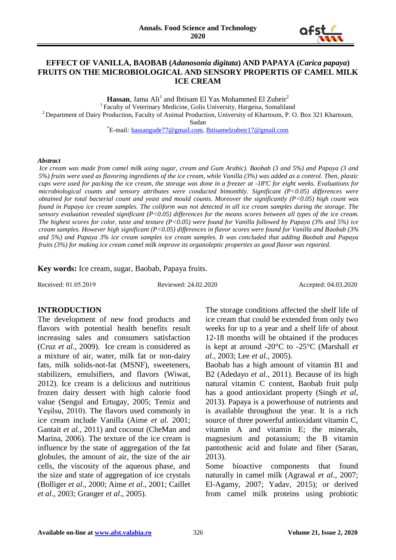

#### **EFFECT OF VANILLA, BAOBAB (***Adanosonia digitata***) AND PAPAYA (***Carica papaya***) FRUITS ON THE MICROBIOLOGICAL AND SENSORY PROPERTIS OF CAMEL MILK ICE CREAM**

Hassan, Jama Ali<sup>1</sup> and Ibtisam El Yas Mohammed El Zubeir<sup>2</sup> <sup>1</sup> Faculty of Veterinary Medicine, Golis University, Hargeisa, Somaliland <sup>2</sup> Department of Dairy Production, Faculty of Animal Production, University of Khartoum, P. O. Box 321 Khartoum,

Sudan

\*E-mail*:* [hassangude77@gmail.com,](mailto:hassangude77@gmail.com) [Ibtisamelzubeir17@gmail.com](mailto:Ibtisamelzubeir17@gmail.com)

#### *Abstract*

*Ice cream was made from camel milk using sugar, cream and Gum Arabic). Baobab (3 and 5%) and Papaya (3 and 5%) fruits were used as flavoring ingredients of the ice cream, while Vanilla (3%) was added as a control. Then, plastic cups were used for packing the ice cream, the storage was done in a freezer at -18ºC for eight weeks. Evaluations for microbiological counts and sensory attributes were conducted bimonthly. Significant (P<0.05) differences were obtained for total bacterial count and yeast and mould counts. Moreover the significantly (P<0.05) high count was found in Papaya ice cream samples. The coliform was not detected in all ice cream samples during the storage. The sensory evaluation revealed significant (P<0.05) differences for the means scores between all types of the ice cream. The highest scores for color, taste and texture (P<0.05) were found for Vanilla followed by Papaya (3% and 5%) ice cream samples. However high significant (P<0.05) differences in flavor scores were found for Vanilla and Baobab (3% and 5%) and Papaya 3% ice cream samples ice cream samples. It was concluded that adding Baobab and Papaya fruits (3%) for making ice cream camel milk improve its organoleptic properties as good flavor was reported.*

**Key words:** Ice cream, sugar, Baobab, Papaya fruits.

Received: 01.05.2019 Reviewed: 24.02.2020 Accepted: 04.03.2020

#### **INTRODUCTION**

The development of new food products and flavors with potential health benefits result increasing sales and consumers satisfaction (Cruz *et al*., 2009). Ice cream is considered as a mixture of air, water, milk fat or non-dairy fats, milk solids-not-fat (MSNF), sweeteners, stabilizers, emulsifiers, and flavors (Wiwat, 2012). Ice cream is a delicious and nutritious frozen dairy dessert with high calorie food value (Sengul and Ertugay, 2005; Temiz and Yeşilsu, 2010). The flavors used commonly in ice cream include Vanilla (Aime *et al.* 2001; Gantait *et al.,* 2011) and coconut (CheMan and Marina, 2006). The texture of the ice cream is influence by the state of aggregation of the fat globules, the amount of air, the size of the air cells, the viscosity of the aqueous phase, and the size and state of aggregation of ice crystals (Bolliger *et al*., 2000; Aime *et al*., 2001; Caillet *et al*., 2003; Granger *et al*., 2005).

The storage conditions affected the shelf life of ice cream that could be extended from only two weeks for up to a year and a shelf life of about 12-18 months will be obtained if the produces is kept at around -20°C to -25°C (Marshall *et al.,* 2003; Lee *et al.,* 2005).

Baobab has a high amount of vitamin B1 and B2 (Adedayo *et al.,* 2011). Because of its high natural vitamin C content, Baobab fruit pulp has a good antioxidant property (Singh *et al,* 2013). Papaya is a powerhouse of nutrients and is available throughout the year. It is a rich source of three powerful antioxidant vitamin C, vitamin A and vitamin E; the minerals, magnesium and potassium; the B vitamin pantothenic acid and folate and fiber (Saran, 2013).

Some bioactive components that found naturally in camel milk (Agrawal *et al*., 2007; El-Agamy, 2007; Yadav, 2015); or derived from camel milk proteins using probiotic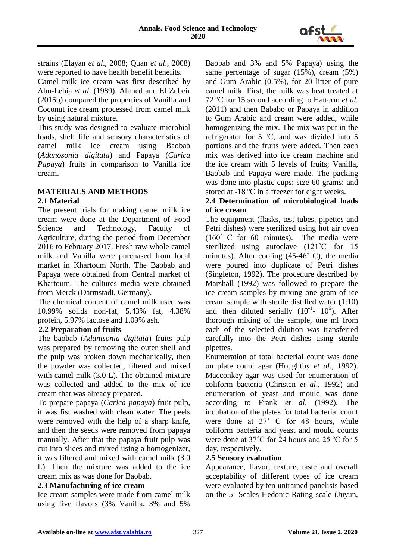

strains (Elayan *et al*., 2008; Quan *et al*., 2008) were reported to have health benefit benefits.

Camel milk ice cream was first described by Abu-Lehia *et al*. (1989). Ahmed and El Zubeir (2015b) compared the properties of Vanilla and Coconut ice cream processed from camel milk by using natural mixture.

This study was designed to evaluate microbial loads, shelf life and sensory characteristics of camel milk ice cream using Baobab (*Adanosonia digitata*) and Papaya (*Carica Papaya*) fruits in comparison to Vanilla ice cream.

# **MATERIALS AND METHODS**

# **2.1 Material**

The present trials for making camel milk ice cream were done at the Department of Food Science and Technology, Faculty of Agriculture, during the period from December 2016 to February 2017. Fresh raw whole camel milk and Vanilla were purchased from local market in Khartoum North. The Baobab and Papaya were obtained from Central market of Khartoum. The cultures media were obtained from Merck (Darmstadt, Germany).

The chemical content of camel milk used was 10.99% solids non-fat, 5.43% fat, 4.38% protein, 5.97% lactose and 1.09% ash.

# **2.2 Preparation of fruits**

The baobab (*Adanisonia digitata*) fruits pulp was prepared by removing the outer shell and the pulp was broken down mechanically, then the powder was collected, filtered and mixed with camel milk (3.0 L). The obtained mixture was collected and added to the mix of ice cream that was already prepared.

To prepare papaya (*Carica papaya*) fruit pulp, it was fist washed with clean water. The peels were removed with the help of a sharp knife, and then the seeds were removed from papaya manually. After that the papaya fruit pulp was cut into slices and mixed using a homogenizer, it was filtered and mixed with camel milk (3.0 L). Then the mixture was added to the ice cream mix as was done for Baobab.

#### **2.3 Manufacturing of ice cream**

Ice cream samples were made from camel milk using five flavors (3% Vanilla, 3% and 5%

Baobab and 3% and 5% Papaya) using the same percentage of sugar (15%), cream (5%) and Gum Arabic (0.5%), for 20 litter of pure camel milk. First, the milk was heat treated at 72 ºC for 15 second according to Hatterm *et al.* (2011) and then Bababo or Papaya in addition to Gum Arabic and cream were added, while homogenizing the mix. The mix was put in the refrigerator for 5 ºC, and was divided into 5 portions and the fruits were added. Then each mix was derived into ice cream machine and the ice cream with 5 levels of fruits; Vanilla, Baobab and Papaya were made. The packing was done into plastic cups; size 60 grams; and stored at -18 °C in a freezer for eight weeks.

# **2.4 Determination of microbiological loads of ice cream**

The equipment (flasks, test tubes, pipettes and Petri dishes) were sterilized using hot air oven (160˚ C for 60 minutes). The media were sterilized using autoclave (121˚C for 15 minutes). After cooling (45-46˚ C), the media were poured into duplicate of Petri dishes (Singleton, 1992). The procedure described by Marshall (1992) was followed to prepare the ice cream samples by mixing one gram of ice cream sample with sterile distilled water (1:10) and then diluted serially  $(10^{-1} - 10^{6})$ . After thorough mixing of the sample, one ml from each of the selected dilution was transferred carefully into the Petri dishes using sterile pipettes.

Enumeration of total bacterial count was done on plate count agar (Houghtby *et al*., 1992). Macconkey agar was used for enumeration of coliform bacteria (Christen *et al*., 1992) and enumeration of yeast and mould was done according to Frank *et al*. (1992). The incubation of the plates for total bacterial count were done at 37° C for 48 hours, while coliform bacteria and yeast and mould counts were done at 37˚C for 24 hours and 25 ºC for 5 day, respectively.

# **2.5 Sensory evaluation**

Appearance, flavor, texture, taste and overall acceptability of different types of ice cream were evaluated by ten untrained panelists based on the 5- Scales Hedonic Rating scale (Juyun,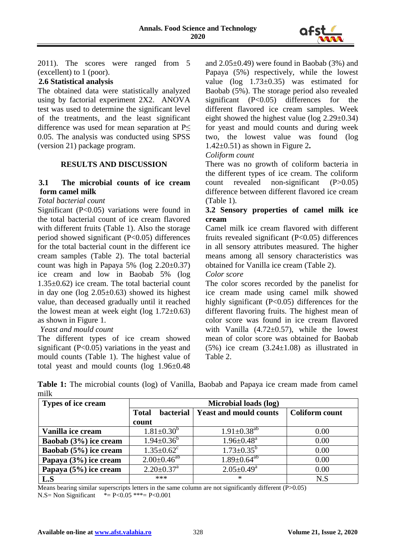

2011). The scores were ranged from 5 (excellent) to 1 (poor).

# **2.6 Statistical analysis**

The obtained data were statistically analyzed using by factorial experiment 2X2. ANOVA test was used to determine the significant level of the treatments, and the least significant difference was used for mean separation at  $P \leq$ 0.05. The analysis was conducted using SPSS (version 21) package program.

#### **RESULTS AND DISCUSSION**

# **3.1 The microbial counts of ice cream form camel milk**

# *Total bacterial count*

Significant (P<0.05) variations were found in the total bacterial count of ice cream flavored with different fruits (Table 1). Also the storage period showed significant (P<0.05) differences for the total bacterial count in the different ice cream samples (Table 2). The total bacterial count was high in Papaya 5% (log  $2.20\pm0.37$ ) ice cream and low in Baobab 5% (log 1.35±0.62) ice cream. The total bacterial count in day one ( $log 2.05 \pm 0.63$ ) showed its highest value, than deceased gradually until it reached the lowest mean at week eight (log  $1.72\pm0.63$ ) as shown in Figure 1.

#### *Yeast and mould count*

The different types of ice cream showed significant (P<0.05) variations in the yeast and mould counts (Table 1). The highest value of total yeast and mould counts (log 1.96±0.48

and 2.05±0.49) were found in Baobab (3%) and Papaya (5%) respectively, while the lowest value (log 1.73±0.35) was estimated for Baobab (5%). The storage period also revealed significant (P<0.05) differences for the different flavored ice cream samples. Week eight showed the highest value (log 2.29±0.34) for yeast and mould counts and during week two, the lowest value was found (log 1.42±0.51) as shown in Figure 2**.** 

#### *Coliform count*

There was no growth of coliform bacteria in the different types of ice cream. The coliform count revealed non-significant (P>0.05) difference between different flavored ice cream (Table 1).

### **3.2 Sensory properties of camel milk ice cream**

Camel milk ice cream flavored with different fruits revealed significant (P<0.05) differences in all sensory attributes measured. The higher means among all sensory characteristics was obtained for Vanilla ice cream (Table 2).

#### *Color score*

The color scores recorded by the panelist for ice cream made using camel milk showed highly significant (P<0.05) differences for the different flavoring fruits. The highest mean of color score was found in ice cream flavored with Vanilla  $(4.72 \pm 0.57)$ , while the lowest mean of color score was obtained for Baobab (5%) ice cream (3.24±1.08) as illustrated in Table 2.

**Table 1:** The microbial counts (log) of Vanilla, Baobab and Papaya ice cream made from camel milk

| Types of ice cream    | Microbial loads (log)            |                               |                       |  |  |  |
|-----------------------|----------------------------------|-------------------------------|-----------------------|--|--|--|
|                       | <b>bacterial</b><br><b>Total</b> | <b>Yeast and mould counts</b> | <b>Coliform count</b> |  |  |  |
|                       | count                            |                               |                       |  |  |  |
| Vanilla ice cream     | $1.81 \pm 0.30^b$                | $1.91 \pm 0.38$ <sup>ab</sup> | 0.00                  |  |  |  |
| Baobab (3%) ice cream | $1.94 \pm 0.36^b$                | $1.96 \pm 0.48$ <sup>a</sup>  | 0.00                  |  |  |  |
| Baobab (5%) ice cream | $1.35 \pm 0.62$ <sup>c</sup>     | $1.73 \pm 0.35^b$             | 0.00                  |  |  |  |
| Papaya (3%) ice cream | $2.00 \pm 0.46^{ab}$             | $1.89 \pm 0.64^{ab}$          | 0.00                  |  |  |  |
| Papaya (5%) ice cream | $2.20 \pm 0.37$ <sup>a</sup>     | $2.05 \pm 0.49^a$             | 0.00                  |  |  |  |
| L.S                   | ***                              | $\ast$                        | N.S                   |  |  |  |

Means bearing similar superscripts letters in the same column are not significantly different (P>0.05)

N.S= Non Significant  $* = P < 0.05$  \*\*\*= P $< 0.001$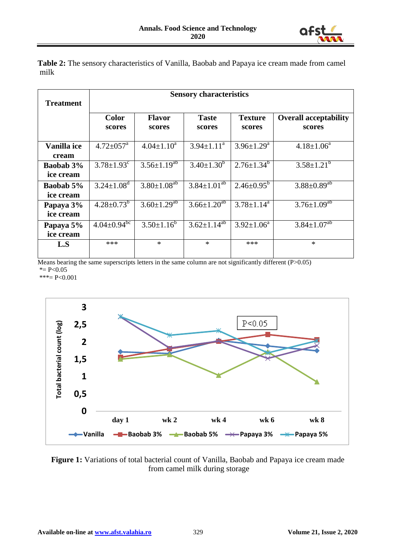

**Table 2:** The sensory characteristics of Vanilla, Baobab and Papaya ice cream made from camel milk

| <b>Treatment</b>              | <b>Sensory characteristics</b> |                               |                        |                            |                                        |  |  |
|-------------------------------|--------------------------------|-------------------------------|------------------------|----------------------------|----------------------------------------|--|--|
|                               | <b>Color</b><br>scores         | <b>Flavor</b><br>scores       | <b>Taste</b><br>scores | <b>Texture</b><br>scores   | <b>Overall acceptability</b><br>scores |  |  |
| Vanilla ice<br>cream          | $4.72 \pm 0.57$ <sup>a</sup>   | $4.04 \pm 1.10^a$             | $3.94 \pm 1.11^a$      | $3.96 \pm 1.29^{\text{a}}$ | $4.18 \pm 1.06^a$                      |  |  |
| <b>Baobab</b> 3%<br>ice cream | $3.78 \pm 1.93$ <sup>c</sup>   | $3.56 \pm 1.19^{ab}$          | $3.40 \pm 1.30^b$      | $2.76 \pm 1.34^b$          | $3.58 \pm 1.21^b$                      |  |  |
| <b>Baobab 5%</b><br>ice cream | $3.24 \pm 1.08$ <sup>d</sup>   | $3.80 \pm 1.08^{ab}$          | $3.84 \pm 1.01^{ab}$   | $2.46 \pm 0.95^b$          | $3.88 \pm 0.89^{ab}$                   |  |  |
| Papaya 3%<br>ice cream        | $4.28 \pm 0.73^b$              | $3.60 \pm 1.29$ <sup>ab</sup> | $3.66 \pm 1.20^{ab}$   | $3.78 \pm 1.14^a$          | $3.76 \pm 1.09^{ab}$                   |  |  |
| Papaya 5%<br>ice cream        | $4.04 \pm 0.94$ <sup>bc</sup>  | $3.50 \pm 1.16^b$             | $3.62 \pm 1.14^{ab}$   | $3.92 \pm 1.06^a$          | $3.84 \pm 1.07^{ab}$                   |  |  |
| L.S                           | ***                            | $\ast$                        | $\ast$                 | ***                        | $\ast$                                 |  |  |

Means bearing the same superscripts letters in the same column are not significantly different (P>0.05)  $* = P < 0.05$  $***=$  P<0.001



Figure 1: Variations of total bacterial count of Vanilla, Baobab and Papaya ice cream made from camel milk during storage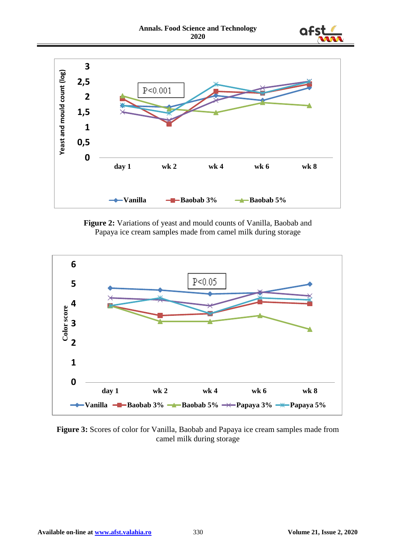



**Figure 2:** Variations of yeast and mould counts of Vanilla, Baobab and Papaya ice cream samples made from camel milk during storage



**Figure 3:** Scores of color for Vanilla, Baobab and Papaya ice cream samples made from camel milk during storage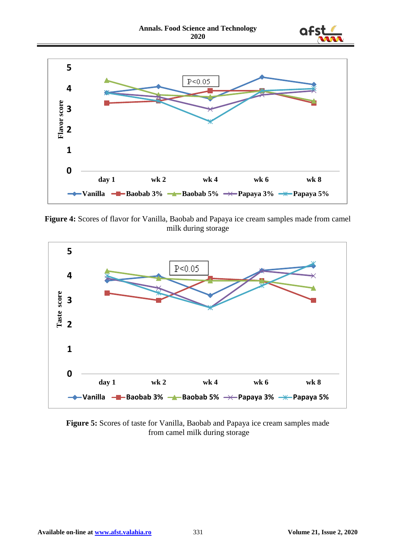



**Figure 4:** Scores of flavor for Vanilla, Baobab and Papaya ice cream samples made from camel milk during storage



**Figure 5:** Scores of taste for Vanilla, Baobab and Papaya ice cream samples made from camel milk during storage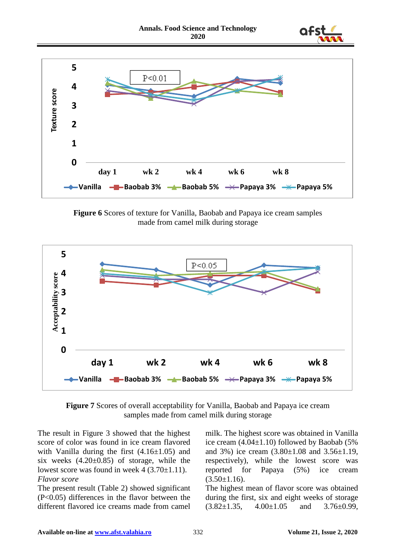



**Figure 6** Scores of texture for Vanilla, Baobab and Papaya ice cream samples made from camel milk during storage



**Figure 7** Scores of overall acceptability for Vanilla, Baobab and Papaya ice cream samples made from camel milk during storage

The result in Figure 3 showed that the highest score of color was found in ice cream flavored with Vanilla during the first  $(4.16\pm1.05)$  and six weeks  $(4.20 \pm 0.85)$  of storage, while the lowest score was found in week  $4(3.70\pm1.11)$ . *Flavor score*

The present result (Table 2) showed significant (P<0.05) differences in the flavor between the different flavored ice creams made from camel milk. The highest score was obtained in Vanilla ice cream  $(4.04\pm1.10)$  followed by Baobab (5%) and 3%) ice cream (3.80±1.08 and 3.56±1.19, respectively), while the lowest score was reported for Papaya (5%) ice cream  $(3.50 \pm 1.16)$ .

The highest mean of flavor score was obtained during the first, six and eight weeks of storage  $(3.82 \pm 1.35, 4.00 \pm 1.05$  and  $3.76 \pm 0.99$ .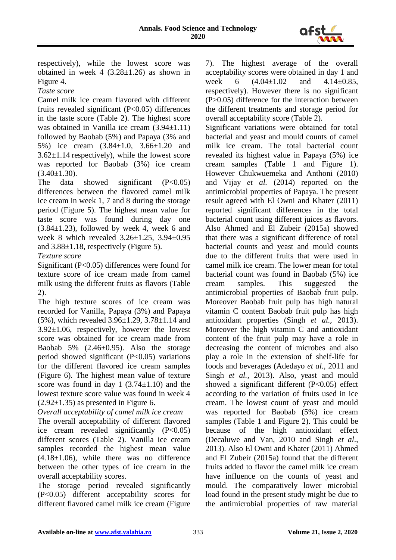

respectively), while the lowest score was obtained in week  $4$  (3.28 $\pm$ 1.26) as shown in Figure 4.

*Taste score* 

Camel milk ice cream flavored with different fruits revealed significant (P<0.05) differences in the taste score (Table 2). The highest score was obtained in Vanilla ice cream (3.94±1.11) followed by Baobab (5%) and Papaya (3% and 5%) ice cream (3.84±1.0, 3.66±1.20 and  $3.62\pm1.14$  respectively), while the lowest score was reported for Baobab (3%) ice cream  $(3.40 \pm 1.30)$ .

The data showed significant  $(P<0.05)$ differences between the flavored camel milk ice cream in week 1, 7 and 8 during the storage period (Figure 5). The highest mean value for taste score was found during day one  $(3.84\pm1.23)$ , followed by week 4, week 6 and week 8 which revealed 3.26±1.25, 3.94±0.95 and 3.88±1.18, respectively (Figure 5).

*Texture score* 

Significant (P<0.05) differences were found for texture score of ice cream made from camel milk using the different fruits as flavors (Table 2).

The high texture scores of ice cream was recorded for Vanilla, Papaya (3%) and Papaya (5%), which revealed 3.96±1.29, 3.78±1.14 and 3.92±1.06, respectively, however the lowest score was obtained for ice cream made from Baobab 5% (2.46±0.95). Also the storage period showed significant  $(P<0.05)$  variations for the different flavored ice cream samples (Figure 6). The highest mean value of texture score was found in day  $1$  (3.74 $\pm$ 1.10) and the lowest texture score value was found in week 4  $(2.92\pm1.35)$  as presented in Figure 6.

*Overall acceptability of camel milk ice cream*

The overall acceptability of different flavored ice cream revealed significantly (P<0.05) different scores (Table 2). Vanilla ice cream samples recorded the highest mean value  $(4.18\pm1.06)$ , while there was no difference between the other types of ice cream in the overall acceptability scores.

The storage period revealed significantly (P<0.05) different acceptability scores for different flavored camel milk ice cream (Figure 7). The highest average of the overall acceptability scores were obtained in day 1 and week 6 (4.04±1.02 and 4.14±0.85, respectively). However there is no significant (P>0.05) difference for the interaction between the different treatments and storage period for overall acceptability score (Table 2).

Significant variations were obtained for total bacterial and yeast and mould counts of camel milk ice cream. The total bacterial count revealed its highest value in Papaya (5%) ice cream samples (Table 1 and Figure 1). However Chukwuemeka and Anthoni (2010) and Vijay *et al.* (2014) reported on the antimicrobial properties of Papaya. The present result agreed with El Owni and Khater (2011) reported significant differences in the total bacterial count using different juices as flavors. Also Ahmed and El Zubeir (2015a) showed that there was a significant difference of total bacterial counts and yeast and mould counts due to the different fruits that were used in camel milk ice cream. The lower mean for total bacterial count was found in Baobab (5%) ice cream samples. This suggested the antimicrobial properties of Baobab fruit pulp. Moreover Baobab fruit pulp has high natural vitamin C content Baobab fruit pulp has high antioxidant properties (Singh *et al.,* 2013). Moreover the high vitamin C and antioxidant content of the fruit pulp may have a role in decreasing the content of microbes and also play a role in the extension of shelf-life for foods and beverages (Adedayo *et al.,* 2011 and Singh *et al.,* 2013). Also, yeast and mould showed a significant different (P<0.05) effect according to the variation of fruits used in ice cream. The lowest count of yeast and mould was reported for Baobab (5%) ice cream samples (Table 1 and Figure 2). This could be because of the high antioxidant effect (Decaluwe and Van, 2010 and Singh *et al*., 2013). Also El Owni and Khater (2011) Ahmed and El Zubeir (2015a) found that the different fruits added to flavor the camel milk ice cream have influence on the counts of yeast and mould. The comparatively lower microbial load found in the present study might be due to the antimicrobial properties of raw material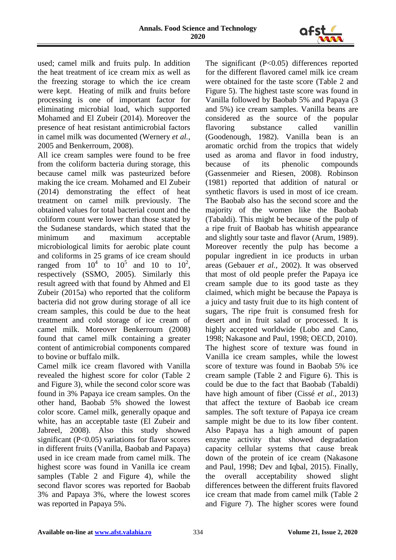

used; camel milk and fruits pulp. In addition the heat treatment of ice cream mix as well as the freezing storage to which the ice cream were kept. Heating of milk and fruits before processing is one of important factor for eliminating microbial load, which supported Mohamed and El Zubeir (2014). Moreover the presence of heat resistant antimicrobial factors in camel milk was documented (Wernery *et al.*, 2005 and Benkerroum, 2008).

All ice cream samples were found to be free from the coliform bacteria during storage, this because camel milk was pasteurized before making the ice cream. Mohamed and El Zubeir (2014) demonstrating the effect of heat treatment on camel milk previously. The obtained values for total bacterial count and the coliform count were lower than those stated by the Sudanese standards, which stated that the minimum and maximum acceptable microbiological limits for aerobic plate count and coliforms in 25 grams of ice cream should ranged from  $10^4$  to  $10^5$  and 10 to  $10^2$ , respectively (SSMO, 2005). Similarly this result agreed with that found by Ahmed and El Zubeir (2015a) who reported that the coliform bacteria did not grow during storage of all ice cream samples, this could be due to the heat treatment and cold storage of ice cream of camel milk. Moreover Benkerroum (2008) found that camel milk containing a greater content of antimicrobial components compared to bovine or buffalo milk.

Camel milk ice cream flavored with Vanilla revealed the highest score for color (Table 2 and Figure 3), while the second color score was found in 3% Papaya ice cream samples. On the other hand, Baobab 5% showed the lowest color score. Camel milk, generally opaque and white, has an acceptable taste (El Zubeir and Jabreel, 2008). Also this study showed significant  $(P<0.05)$  variations for flavor scores in different fruits (Vanilla, Baobab and Papaya) used in ice cream made from camel milk. The highest score was found in Vanilla ice cream samples (Table 2 and Figure 4), while the second flavor scores was reported for Baobab 3% and Papaya 3%, where the lowest scores was reported in Papaya 5%.

The significant  $(P<0.05)$  differences reported for the different flavored camel milk ice cream were obtained for the taste score (Table 2 and Figure 5). The highest taste score was found in Vanilla followed by Baobab 5% and Papaya (3 and 5%) ice cream samples. Vanilla beans are considered as the source of the popular flavoring substance called vanillin (Goodenough, 1982). Vanilla bean is an aromatic orchid from the tropics that widely used as aroma and flavor in food industry, because of its phenolic compounds (Gassenmeier and Riesen, 2008). Robinson (1981) reported that addition of natural or synthetic flavors is used in most of ice cream. The Baobab also has the second score and the majority of the women like the Baobab (Tabaldi). This might be because of the pulp of a ripe fruit of Baobab has whitish appearance and slightly sour taste and flavor (Arum, 1989). Moreover recently the pulp has become a popular ingredient in ice products in urban areas (Gebauer *et al.*, 2002). It was observed that most of old people prefer the Papaya ice cream sample due to its good taste as they claimed, which might be because the Papaya is a juicy and tasty fruit due to its high content of sugars, The ripe fruit is consumed fresh for desert and in fruit salad or processed. It is highly accepted worldwide (Lobo and Cano, 1998; Nakasone and Paul, 1998; OECD, 2010). The highest score of texture was found in Vanilla ice cream samples, while the lowest score of texture was found in Baobab 5% ice cream sample (Table 2 and Figure 6). This is could be due to the fact that Baobab (Tabaldi) have high amount of fiber (Cissé *et al.,* 2013) that affect the texture of Baobab ice cream samples. The soft texture of Papaya ice cream sample might be due to its low fiber content. Also Papaya has a high amount of papen enzyme activity that showed degradation capacity cellular systems that cause break down of the protein of ice cream (Nakasone and Paul, 1998; Dev and Iqbal, 2015). Finally, the overall acceptability showed slight differences between the different fruits flavored ice cream that made from camel milk (Table 2 and Figure 7). The higher scores were found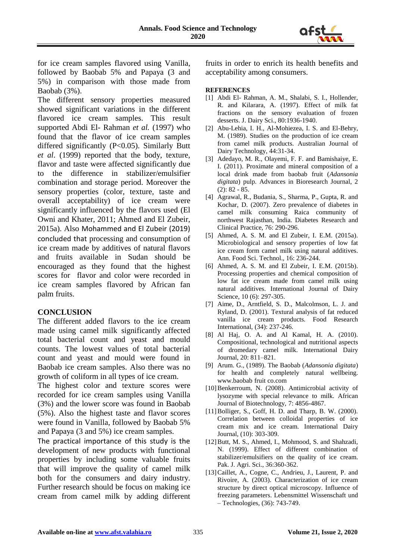

for ice cream samples flavored using Vanilla, followed by Baobab 5% and Papaya (3 and 5%) in comparison with those made from Baobab (3%).

The different sensory properties measured showed significant variations in the different flavored ice cream samples. This result supported Abdi El- Rahman *et al.* (1997) who found that the flavor of ice cream samples differed significantly (P<0.05). Similarly Butt *et al*. (1999) reported that the body, texture, flavor and taste were affected significantly due to the difference in stabilizer/emulsifier combination and storage period. Moreover the sensory properties (color, texture, taste and overall acceptability) of ice cream were significantly influenced by the flavors used (El Owni and Khater, 2011; Ahmed and El Zubeir, 2015a). Also Mohammed and El Zubeir (2019) concluded that processing and consumption of ice cream made by additives of natural flavors and fruits available in Sudan should be encouraged as they found that the highest scores for flavor and color were recorded in ice cream samples flavored by African fan palm fruits.

#### **CONCLUSION**

The different added flavors to the ice cream made using camel milk significantly affected total bacterial count and yeast and mould counts. The lowest values of total bacterial count and yeast and mould were found in Baobab ice cream samples. Also there was no growth of coliform in all types of ice cream.

The highest color and texture scores were recorded for ice cream samples using Vanilla (3%) and the lower score was found in Baobab (5%). Also the highest taste and flavor scores were found in Vanilla, followed by Baobab 5% and Papaya (3 and 5%) ice cream samples.

The practical importance of this study is the development of new products with functional properties by including some valuable fruits that will improve the quality of camel milk both for the consumers and dairy industry. Further research should be focus on making ice cream from camel milk by adding different fruits in order to enrich its health benefits and acceptability among consumers.

#### **REFERENCES**

- [1] Abdi El- Rahman, A. M., Shalabi, S. I., Hollender, R. and Kilarara, A. (1997). Effect of milk fat fractions on the sensory evaluation of frozen desserts. J. Dairy Sci., 80:1936-1940.
- [2] Abu-Lehia, I. H., Al-Mohiezea, I. S. and El-Behry, M. (1989). Studies on the production of ice cream from camel milk products. Australian Journal of Dairy Technology, 44:31-34.
- [3] Adedayo, M. R., Olayemi, F. F. and Bamishaiye, E. I. (2011). Proximate and mineral composition of a local drink made from baobab fruit (*Adansonia digitata*) pulp. Advances in Bioresearch Journal, 2 (2): 82 - 85.
- [4] Agrawal, R., Budania, S., Sharma, P., Gupta, R. and Kochar, D. (2007). Zero prevalence of diabetes in camel milk consuming Raica community of northwest Rajasthan, India. Diabetes Research and Clinical Practice, 76: 290-296.
- [5] Ahmed, A. S. M. and El Zubeir, I. E.M. (2015a). Microbiological and sensory properties of low fat ice cream form camel milk using natural additives. Ann. Food Sci. Technol., 16: 236-244.
- [6] Ahmed, A. S. M. and El Zubeir, I. E.M. (2015b). Processing properties and chemical composition of low fat ice cream made from camel milk using natural additives. International Journal of Dairy Science, 10 (6): 297-305.
- [7] Aime, D., Arntfield, S. D., Malcolmson, L. J. and Ryland, D. (2001). Textural analysis of fat reduced vanilla ice cream products. Food Research International, (34): 237-246.
- [8] Al Haj, O. A. and Al Kamal, H. A. (2010). Compositional, technological and nutritional aspects of dromedary camel milk. International Dairy Journal, 20: 811–821.
- [9] Arum. G., (1989). The Baobab (*Adansonia digitata*) for health and completely natural wellbeing. www.baobab fruit co.com
- [10]Benkerroum, N. (2008). Antimicrobial activity of lysozyme with special relevance to milk. African Journal of Biotechnology, 7: 4856-4867.
- [11]Bolliger, S., Goff, H. D. and Tharp, B. W. (2000). Correlation between colloidal properties of ice cream mix and ice cream. International Dairy Journal, (10): 303-309.
- [12] Butt, M. S., Ahmed, I., Mohmood, S. and Shahzadi, N. (1999). Effect of different combination of stabilizer/emulsifiers on the quality of ice cream. Pak. J. Agri. Sci., 36:360-362.
- [13] Caillet, A., Cogne, C., Andrieu, J., Laurent, P. and Rivoire, A. (2003). Characterization of ice cream structure by direct optical microscopy. Influence of freezing parameters. Lebensmittel Wissenschaft und – Technologies, (36): 743-749.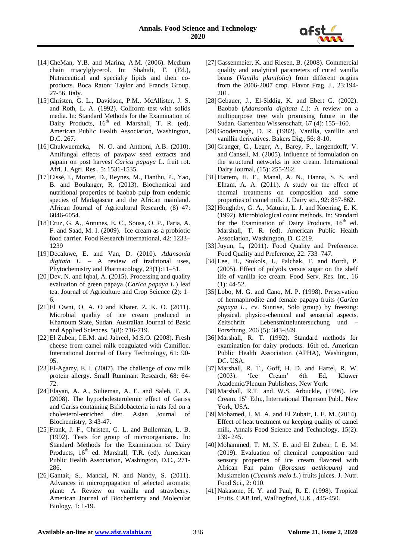

- [14]CheMan, Y.B. and Marina, A.M. (2006). Medium chain triacylglycerol. In: Shahidi, F. (Ed.), Nutraceutical and specialty lipids and their coproducts. Boca Raton: Taylor and Francis Group. 27-56. Italy.
- [15]Christen, G. L., Davidson, P.M., McAllister, J. S. and Roth, L. A. (1992). Coliform test with solids media. In: Standard Methods for the Examination of Dairy Products, 16<sup>th</sup> ed. Marshall, T. R. (ed). American Public Health Association, Washington, D.C. 267.
- [16]Chukwuemeka, N. O. and Anthoni, A.B. (2010). Antifungal effects of pawpaw seed extracts and papain on post harvest *Carica papaya* L. fruit rot. Afri. J. Agri. Res., 5: 1531-1535.
- [17]Cissé, I., Montet, D., Reynes, M., Danthu, P., Yao, B. and Boulanger, R. (2013). Biochemical and nutritional properties of baobab pulp from endemic species of Madagascar and the African mainland. African Journal of Agricultural Research, (8) 47: 6046-6054.
- [18]Cruz, G. A., Antunes, E. C., Sousa, O. P., Faria, A. F. and Saad, M. I. (2009). Ice cream as a probiotic food carrier. Food Research International, 42: 1233– 1239
- [19]Decaluwe, E. and Van, D. (2010). *Adansonia digitata L*. – A review of traditional uses, Phytochemistry and Pharmacology, 23(1):11–51.
- [20] Dev, N. and Iqbal, A. (2015). Processing and quality evaluation of green papaya (*Carica papaya L*.) leaf tea. Journal of Agriculture and Crop Science (2): 1– 6.
- [21]El Owni, O. A. O and Khater, Z. K. O. (2011). Microbial quality of ice cream produced in Khartoum State, Sudan. Australian Journal of Basic and Applied Sciences, 5(8): 716-719.
- [22]El Zubeir, I.E.M. and Jabreel, M.S.O. (2008). Fresh cheese from camel milk coagulated with Camifloc. International Journal of Dairy Technology, 61: 90- 95.
- [23]El-Agamy, E. I. (2007). The challenge of cow milk protein allergy. Small Ruminant Research, 68: 64- 72.
- [24]Elayan, A. A., Sulieman, A. E. and Saleh, F. A. (2008). The hypocholesterolemic effect of Gariss and Gariss containing Bifidobacteria in rats fed on a cholesterol-enriched diet. Asian Journal of Biochemistry, 3:43-47.
- [25]Frank, J. F., Christen, G. L. and Bullerman, L. B. (1992). Tests for group of microorganisms. In: Standard Methods for the Examination of Dairy Products, 16<sup>th</sup> ed. Marshall, T.R. (ed). American Public Health Association, Washington, D.C., 271- 286.
- [26] Gantait, S., Mandal, N. and Nandy, S. (2011). Advances in microprpagation of selected aromatic plant: A Review on vanilla and strawberry. American Journal of Biochemistry and Molecular Biology, 1: 1-19.
- [27]Gassenmeier, K. and Riesen, B. (2008). Commercial quality and analytical parameters of cured vanilla beans (*Vanilla planifolia*) from different origins from the 2006-2007 crop. Flavor Frag. J., 23:194- 201.
- [28]Gebauer, J., El-Siddig, K. and Ebert G. (2002). Baobab (*Adansonia digitata L*.): A review on a multipurpose tree with promising future in the Sudan. Gartenbau Wissenschaft, 67 (4): 155–160.
- [29]Goodenough, D. R. (1982). Vanilla, vanillin and vanillin derivatives. Bakers Dig., 56: 8-10.
- [30]Granger, C., Leger, A., Barey, P., langendorff, V. and Cansell, M. (2005). Influence of formulation on the structural networks in ice cream. International Dairy Journal, (15): 255-262.
- [31]Hattem, H. E., Manal, A. N., Hanna, S. S. and Elham, A. A. (2011). A study on the effect of thermal treatments on composition and some properties of camel milk. J. Dairy sci., 92: 857-862.
- [32] Houghtby, G. A., Maturin, L. J. and Koening, E. K. (1992). Microbiological count methods. In: Standard for the Examination of Dairy Products,  $16<sup>th</sup>$  ed. Marshall, T. R. (ed). American Public Health Association, Washington, D. C.219.
- [33] Juyun, L, (2011). Food Quality and Preference. Food Quality and Preference, 22: 733–747.
- [34]Lee, H., Stokols, J., Palchak, T. and Bordi, P. (2005). Effect of polyols versus sugar on the shelf life of vanilla ice cream. Food Serv. Res. Int., 16 (1): 44-52.
- [35]Lobo, M. G. and Cano, M. P. (1998). Preservation of hermaphrodite and female papaya fruits (*Carica papaya L*., cv. Sunrise, Solo group) by freezing: physical. physico-chemical and sensorial aspects. Zeitschrift Lebensmitteluntersuchung und – Forschung, 206 (5): 343–349.
- [36]Marshall, R. T. (1992). Standard methods for examination for dairy products. 16th ed. American Public Health Association (APHA), Washington, DC. USA.
- [37]Marshall, R. T., Goff, H. D. and Hartel, R. W. (2003). 'Ice Cream' 6th Ed, Kluwer Academic/Plenum Publishers, New York.
- [38] Marshall, R.T. and W.S. Arbuckle, (1996). Ice Cream. 15<sup>th</sup> Edn., International Thomson Publ., New York, USA.
- [39] Mohamed, I. M. A. and El Zubair, I. E. M. (2014). Effect of heat treatment on keeping quality of camel milk, Annals Food Science and Technology, 15(2): 239- 245.
- [40]Mohammed, T. M. N. E. and El Zubeir, I. E. M. (2019). Evaluation of chemical composition and sensory properties of ice cream flavored with African Fan palm (*Borassus aethiopum)* and Muskmelon (*Cucumis melo L*.) fruits juices. J. Nutr. Food Sci., 2: 010.
- [41]Nakasone, H. Y. and Paul, R. E. (1998). Tropical Fruits. CAB Intl, Wallingford, U.K., 445-450.